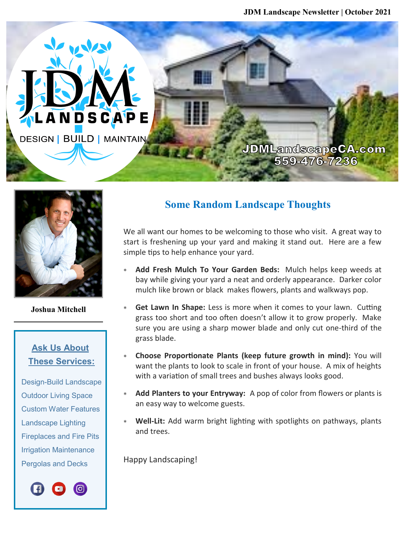**JDM Landscape Newsletter | October 2021**

**JDMLandscapeCA.com** 559-476-7236



A N D S C A P E

**DESIGN | BUILD | MAINTAIN** 

**Joshua Mitchell**

## **Ask Us About These Services:**

 Design-Build Landscape Outdoor Living Space Custom Water Features Landscape Lighting Fireplaces and Fire Pits Irrigation Maintenance Pergolas and Decks



## **Some Random Landscape Thoughts**

We all want our homes to be welcoming to those who visit. A great way to start is freshening up your yard and making it stand out. Here are a few simple tips to help enhance your yard.

- **Add Fresh Mulch To Your Garden Beds:** Mulch helps keep weeds at bay while giving your yard a neat and orderly appearance. Darker color mulch like brown or black makes flowers, plants and walkways pop.
- **Get Lawn In Shape:** Less is more when it comes to your lawn. Cutting grass too short and too often doesn't allow it to grow properly. Make sure you are using a sharp mower blade and only cut one-third of the grass blade.
- **Choose Proportionate Plants (keep future growth in mind):** You will want the plants to look to scale in front of your house. A mix of heights with a variation of small trees and bushes always looks good.
- **Add Planters to your Entryway:** A pop of color from flowers or plants is an easy way to welcome guests.
- **Well-Lit:** Add warm bright lighting with spotlights on pathways, plants and trees.

Happy Landscaping!